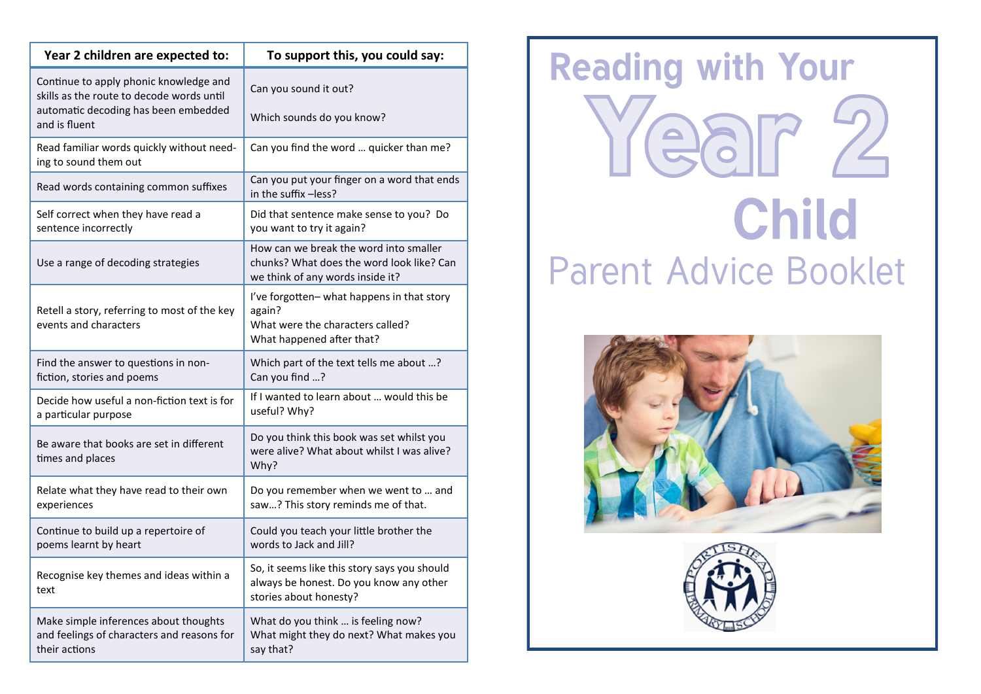| Year 2 children are expected to:                                                                     | To support this, you could say:                                                                                         |
|------------------------------------------------------------------------------------------------------|-------------------------------------------------------------------------------------------------------------------------|
| Continue to apply phonic knowledge and<br>skills as the route to decode words until                  | Can you sound it out?                                                                                                   |
| automatic decoding has been embedded<br>and is fluent                                                | Which sounds do you know?                                                                                               |
| Read familiar words quickly without need-<br>ing to sound them out                                   | Can you find the word  quicker than me?                                                                                 |
| Read words containing common suffixes                                                                | Can you put your finger on a word that ends<br>in the suffix -less?                                                     |
| Self correct when they have read a<br>sentence incorrectly                                           | Did that sentence make sense to you? Do<br>you want to try it again?                                                    |
| Use a range of decoding strategies                                                                   | How can we break the word into smaller<br>chunks? What does the word look like? Can<br>we think of any words inside it? |
| Retell a story, referring to most of the key<br>events and characters                                | I've forgotten- what happens in that story<br>again?<br>What were the characters called?<br>What happened after that?   |
| Find the answer to questions in non-<br>fiction, stories and poems                                   | Which part of the text tells me about ?<br>Can you find ?                                                               |
| Decide how useful a non-fiction text is for<br>a particular purpose                                  | If I wanted to learn about  would this be<br>useful? Why?                                                               |
| Be aware that books are set in different<br>times and places                                         | Do you think this book was set whilst you<br>were alive? What about whilst I was alive?<br>Why?                         |
| Relate what they have read to their own<br>experiences                                               | Do you remember when we went to  and<br>saw? This story reminds me of that.                                             |
| Continue to build up a repertoire of<br>poems learnt by heart                                        | Could you teach your little brother the<br>words to Jack and Jill?                                                      |
| Recognise key themes and ideas within a<br>text                                                      | So, it seems like this story says you should<br>always be honest. Do you know any other<br>stories about honesty?       |
| Make simple inferences about thoughts<br>and feelings of characters and reasons for<br>their actions | What do you think  is feeling now?<br>What might they do next? What makes you<br>say that?                              |